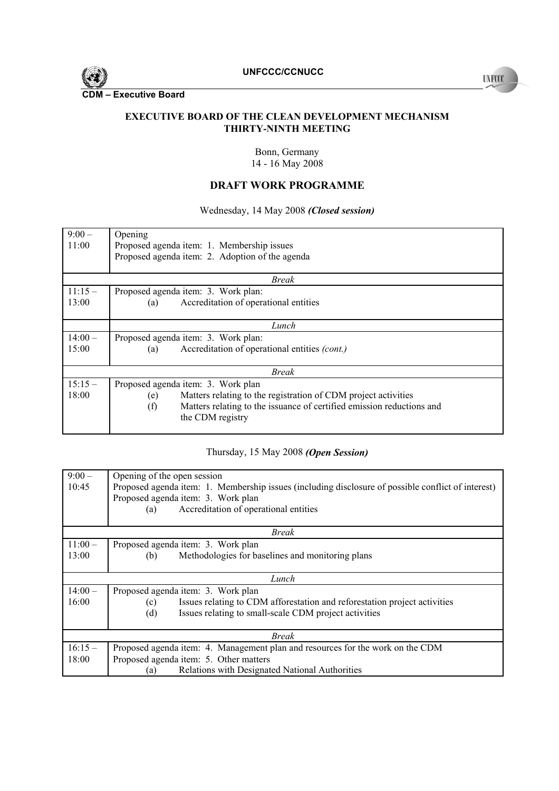

**EXECUTIVE BOARD OF THE CLEAN DEVELOPMENT MECHANISM** 

#### **THIRTY-NINTH MEETING**

Bonn, Germany 14 - 16 May 2008

## **DRAFT WORK PROGRAMME**

## Wednesday, 14 May 2008 *(Closed session)*

| $9:00-$  | Opening                                                                      |  |
|----------|------------------------------------------------------------------------------|--|
| 11:00    | Proposed agenda item: 1. Membership issues                                   |  |
|          | Proposed agenda item: 2. Adoption of the agenda                              |  |
|          |                                                                              |  |
| Break    |                                                                              |  |
| $11:15-$ | Proposed agenda item: 3. Work plan:                                          |  |
| 13:00    | Accreditation of operational entities<br>(a)                                 |  |
|          |                                                                              |  |
|          | Lunch                                                                        |  |
| $14:00-$ | Proposed agenda item: 3. Work plan:                                          |  |
| 15:00    | Accreditation of operational entities (cont.)<br>(a)                         |  |
|          |                                                                              |  |
| Break    |                                                                              |  |
| $15:15-$ | Proposed agenda item: 3. Work plan                                           |  |
| 18:00    | Matters relating to the registration of CDM project activities<br>(e)        |  |
|          | Matters relating to the issuance of certified emission reductions and<br>(f) |  |
|          | the CDM registry                                                             |  |
|          |                                                                              |  |

## Thursday, 15 May 2008 *(Open Session)*

| $9:00-$  | Opening of the open session                                                                        |  |
|----------|----------------------------------------------------------------------------------------------------|--|
| 10:45    | Proposed agenda item: 1. Membership issues (including disclosure of possible conflict of interest) |  |
|          | Proposed agenda item: 3. Work plan                                                                 |  |
|          | Accreditation of operational entities<br>(a)                                                       |  |
| Break    |                                                                                                    |  |
|          |                                                                                                    |  |
| $11:00-$ | Proposed agenda item: 3. Work plan                                                                 |  |
| 13:00    | Methodologies for baselines and monitoring plans<br>(b)                                            |  |
|          |                                                                                                    |  |
| Lunch    |                                                                                                    |  |
| $14:00-$ | Proposed agenda item: 3. Work plan                                                                 |  |
| 16:00    | Issues relating to CDM afforestation and reforestation project activities<br>(c)                   |  |
|          | Issues relating to small-scale CDM project activities<br>(d)                                       |  |
|          |                                                                                                    |  |
| Break    |                                                                                                    |  |
| $16:15-$ | Proposed agenda item: 4. Management plan and resources for the work on the CDM                     |  |
| 18:00    | Proposed agenda item: 5. Other matters                                                             |  |
|          | Relations with Designated National Authorities<br>(a)                                              |  |